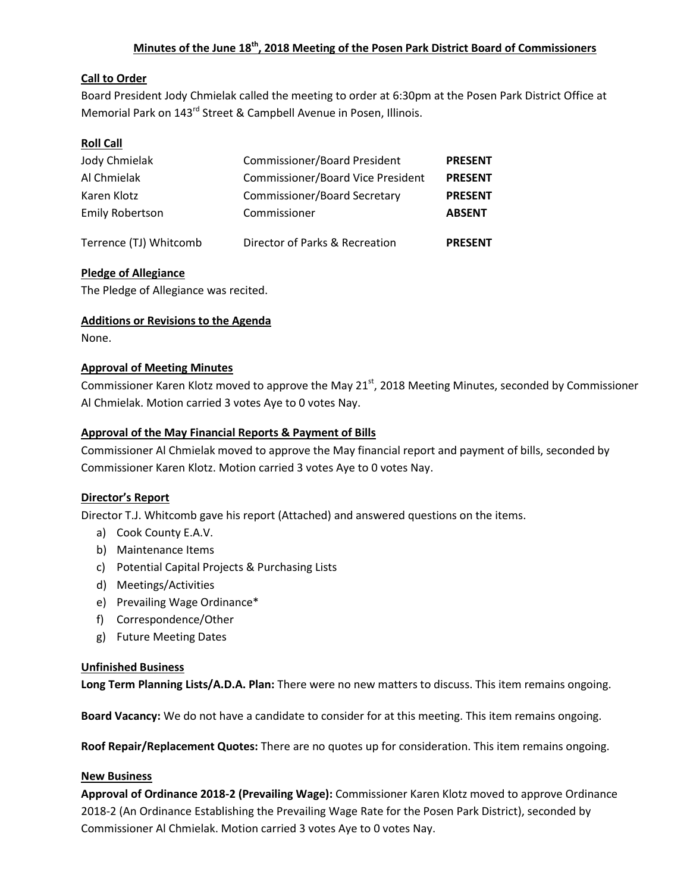# **Minutes of the June 18th, 2018 Meeting of the Posen Park District Board of Commissioners**

# **Call to Order**

Board President Jody Chmielak called the meeting to order at 6:30pm at the Posen Park District Office at Memorial Park on 143<sup>rd</sup> Street & Campbell Avenue in Posen, Illinois.

# **Roll Call**

| Jody Chmielak<br>Al Chmielak<br>Karen Klotz | <b>Commissioner/Board President</b><br><b>Commissioner/Board Vice President</b><br><b>Commissioner/Board Secretary</b> | <b>PRESENT</b><br><b>PRESENT</b><br><b>PRESENT</b> |                        |                                |                |
|---------------------------------------------|------------------------------------------------------------------------------------------------------------------------|----------------------------------------------------|------------------------|--------------------------------|----------------|
|                                             |                                                                                                                        |                                                    | <b>Emily Robertson</b> | Commissioner                   | <b>ABSENT</b>  |
|                                             |                                                                                                                        |                                                    | Terrence (TJ) Whitcomb | Director of Parks & Recreation | <b>PRESENT</b> |

# **Pledge of Allegiance**

The Pledge of Allegiance was recited.

## **Additions or Revisions to the Agenda**

None.

## **Approval of Meeting Minutes**

Commissioner Karen Klotz moved to approve the May 21<sup>st</sup>, 2018 Meeting Minutes, seconded by Commissioner Al Chmielak. Motion carried 3 votes Aye to 0 votes Nay.

## **Approval of the May Financial Reports & Payment of Bills**

Commissioner Al Chmielak moved to approve the May financial report and payment of bills, seconded by Commissioner Karen Klotz. Motion carried 3 votes Aye to 0 votes Nay.

## **Director's Report**

Director T.J. Whitcomb gave his report (Attached) and answered questions on the items.

- a) Cook County E.A.V.
- b) Maintenance Items
- c) Potential Capital Projects & Purchasing Lists
- d) Meetings/Activities
- e) Prevailing Wage Ordinance\*
- f) Correspondence/Other
- g) Future Meeting Dates

## **Unfinished Business**

**Long Term Planning Lists/A.D.A. Plan:** There were no new matters to discuss. This item remains ongoing.

**Board Vacancy:** We do not have a candidate to consider for at this meeting. This item remains ongoing.

**Roof Repair/Replacement Quotes:** There are no quotes up for consideration. This item remains ongoing.

#### **New Business**

**Approval of Ordinance 2018-2 (Prevailing Wage):** Commissioner Karen Klotz moved to approve Ordinance 2018-2 (An Ordinance Establishing the Prevailing Wage Rate for the Posen Park District), seconded by Commissioner Al Chmielak. Motion carried 3 votes Aye to 0 votes Nay.